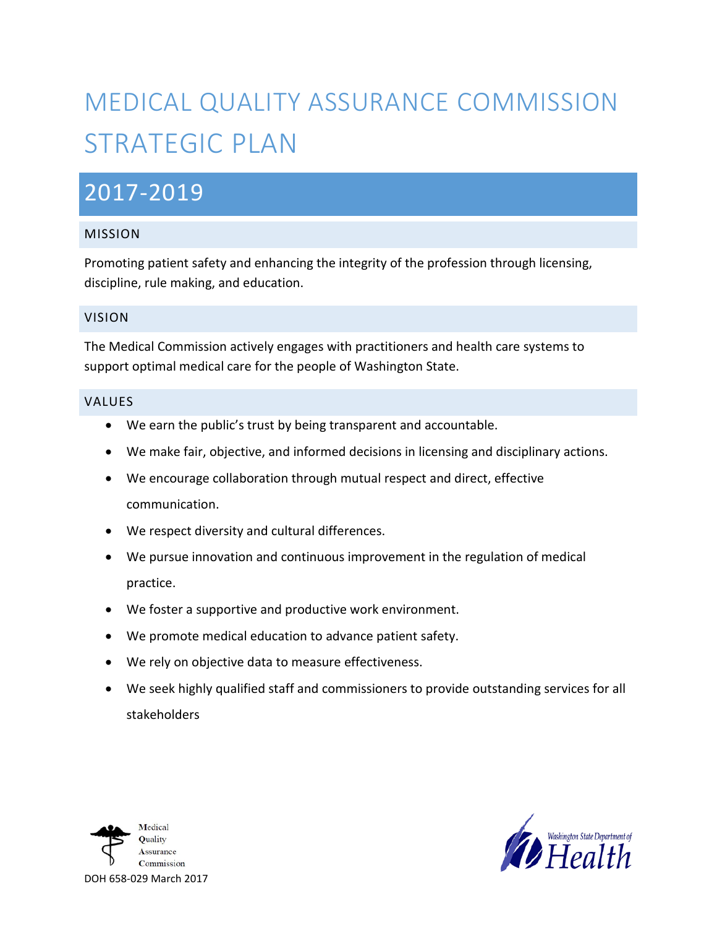# MEDICAL QUALITY ASSURANCE COMMISSION STRATEGIC PLAN

# 2017-2019

### MISSION

Promoting patient safety and enhancing the integrity of the profession through licensing, discipline, rule making, and education.

#### VISION

The Medical Commission actively engages with practitioners and health care systems to support optimal medical care for the people of Washington State.

#### VALUES

- We earn the public's trust by being transparent and accountable.
- We make fair, objective, and informed decisions in licensing and disciplinary actions.
- We encourage collaboration through mutual respect and direct, effective communication.
- We respect diversity and cultural differences.
- We pursue innovation and continuous improvement in the regulation of medical practice.
- We foster a supportive and productive work environment.
- We promote medical education to advance patient safety.
- We rely on objective data to measure effectiveness.
- We seek highly qualified staff and commissioners to provide outstanding services for all stakeholders



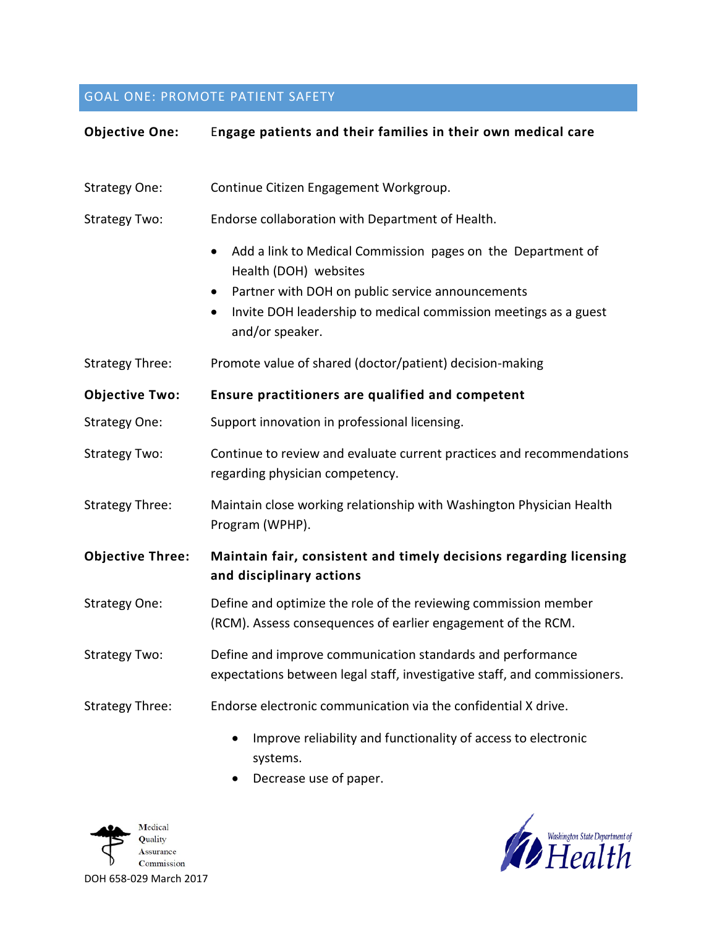# GOAL ONE: PROMOTE PATIENT SAFETY

| <b>Objective One:</b>   | Engage patients and their families in their own medical care                                                                            |
|-------------------------|-----------------------------------------------------------------------------------------------------------------------------------------|
|                         |                                                                                                                                         |
| <b>Strategy One:</b>    | Continue Citizen Engagement Workgroup.                                                                                                  |
| <b>Strategy Two:</b>    | Endorse collaboration with Department of Health.                                                                                        |
|                         | Add a link to Medical Commission pages on the Department of<br>Health (DOH) websites                                                    |
|                         | Partner with DOH on public service announcements                                                                                        |
|                         | Invite DOH leadership to medical commission meetings as a guest<br>٠<br>and/or speaker.                                                 |
| <b>Strategy Three:</b>  | Promote value of shared (doctor/patient) decision-making                                                                                |
| <b>Objective Two:</b>   | Ensure practitioners are qualified and competent                                                                                        |
| <b>Strategy One:</b>    | Support innovation in professional licensing.                                                                                           |
| <b>Strategy Two:</b>    | Continue to review and evaluate current practices and recommendations<br>regarding physician competency.                                |
| <b>Strategy Three:</b>  | Maintain close working relationship with Washington Physician Health<br>Program (WPHP).                                                 |
| <b>Objective Three:</b> | Maintain fair, consistent and timely decisions regarding licensing<br>and disciplinary actions                                          |
| <b>Strategy One:</b>    | Define and optimize the role of the reviewing commission member<br>(RCM). Assess consequences of earlier engagement of the RCM.         |
| <b>Strategy Two:</b>    | Define and improve communication standards and performance<br>expectations between legal staff, investigative staff, and commissioners. |
| <b>Strategy Three:</b>  | Endorse electronic communication via the confidential X drive.                                                                          |
|                         | Improve reliability and functionality of access to electronic<br>$\bullet$<br>systems.                                                  |

• Decrease use of paper.



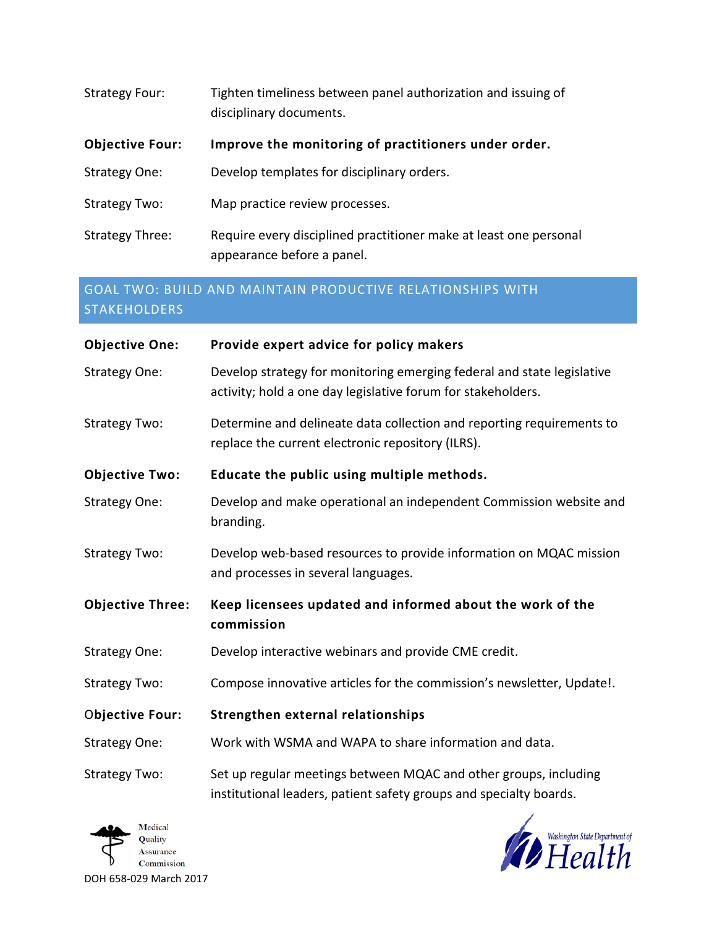| <b>Strategy Four:</b>  | Tighten timeliness between panel authorization and issuing of<br>disciplinary documents.        |
|------------------------|-------------------------------------------------------------------------------------------------|
| <b>Objective Four:</b> | Improve the monitoring of practitioners under order.                                            |
| Strategy One:          | Develop templates for disciplinary orders.                                                      |
| Strategy Two:          | Map practice review processes.                                                                  |
| Strategy Three:        | Require every disciplined practitioner make at least one personal<br>appearance before a panel. |

# GOAL TWO: BUILD AND MAINTAIN PRODUCTIVE RELATIONSHIPS WITH STAKEHOLDERS

| <b>Objective One:</b>   | Provide expert advice for policy makers                                                                                                |
|-------------------------|----------------------------------------------------------------------------------------------------------------------------------------|
| Strategy One:           | Develop strategy for monitoring emerging federal and state legislative<br>activity; hold a one day legislative forum for stakeholders. |
| <b>Strategy Two:</b>    | Determine and delineate data collection and reporting requirements to<br>replace the current electronic repository (ILRS).             |
| <b>Objective Two:</b>   | Educate the public using multiple methods.                                                                                             |
| <b>Strategy One:</b>    | Develop and make operational an independent Commission website and<br>branding.                                                        |
| <b>Strategy Two:</b>    | Develop web-based resources to provide information on MQAC mission<br>and processes in several languages.                              |
| <b>Objective Three:</b> | Keep licensees updated and informed about the work of the                                                                              |
|                         | commission                                                                                                                             |
| <b>Strategy One:</b>    | Develop interactive webinars and provide CME credit.                                                                                   |
| <b>Strategy Two:</b>    | Compose innovative articles for the commission's newsletter, Update!.                                                                  |
| <b>Objective Four:</b>  | Strengthen external relationships                                                                                                      |
| <b>Strategy One:</b>    | Work with WSMA and WAPA to share information and data.                                                                                 |